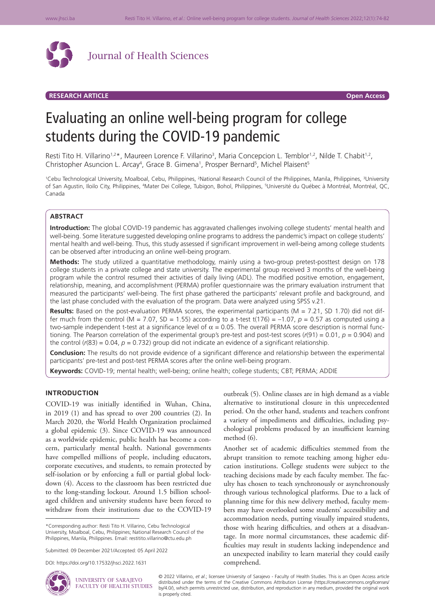

Journal of Health Sciences

## **RESEARCH ARTICLE Open Access**

# Evaluating an online well-being program for college students during the COVID-19 pandemic

Resti Tito H. Villarino<sup>1,2\*</sup>, Maureen Lorence F. Villarino<sup>3</sup>, Maria Concepcion L. Temblor<sup>1,2</sup>, Nilde T. Chabit<sup>1,2</sup>, Christopher Asuncion L. Arcay<sup>4</sup>, Grace B. Gimena<sup>1</sup>, Prosper Bernard<sup>5</sup>, Michel Plaisent<sup>5</sup>

<sup>1</sup>Cebu Technological University, Moalboal, Cebu, Philippines, <sup>2</sup>National Research Council of the Philippines, Manila, Philippines, <sup>3</sup>University of San Agustin, Iloilo City, Philippines, <sup>4</sup>Mater Dei College, Tubigon, Bohol, Philippines, <sup>s</sup>Université du Québec à Montréal, Montréal, QC, Canada

## **ABSTRACT**

**Introduction:** The global COVID-19 pandemic has aggravated challenges involving college students' mental health and well-being. Some literature suggested developing online programs to address the pandemic's impact on college students' mental health and well-being. Thus, this study assessed if significant improvement in well-being among college students can be observed after introducing an online well-being program.

**Methods:** The study utilized a quantitative methodology, mainly using a two-group pretest-posttest design on 178 college students in a private college and state university. The experimental group received 3 months of the well-being program while the control resumed their activities of daily living (ADL). The modified positive emotion, engagement, relationship, meaning, and accomplishment (PERMA) profiler questionnaire was the primary evaluation instrument that measured the participants' well-being. The first phase gathered the participants' relevant profile and background, and the last phase concluded with the evaluation of the program. Data were analyzed using SPSS v.21.

**Results:** Based on the post-evaluation PERMA scores, the experimental participants (M = 7.21, SD 1.70) did not differ much from the control (M = 7.07, SD = 1.55) according to a t-test t(176) =  $-1.07$ ,  $p = 0.57$  as computed using a two-sample independent t-test at a significance level of  $\alpha$  = 0.05. The overall PERMA score description is normal functioning. The Pearson correlation of the experimental group's pre-test and post-test scores (*r*(91) = 0.01, *p* = 0.904) and the control  $(r(83) = 0.04, p = 0.732)$  group did not indicate an evidence of a significant relationship.

**Conclusion:** The results do not provide evidence of a significant difference and relationship between the experimental participants' pre-test and post-test PERMA scores after the online well-being program.

**Keywords:** COVID-19; mental health; well-being; online health; college students; CBT; PERMA; ADDIE

### **INTRODUCTION**

COVID-19 was initially identified in Wuhan, China, in 2019 (1) and has spread to over 200 countries (2). In March 2020, the World Health Organization proclaimed a global epidemic (3). Since COVID-19 was announced as a worldwide epidemic, public health has become a concern, particularly mental health. National governments have compelled millions of people, including educators, corporate executives, and students, to remain protected by self-isolation or by enforcing a full or partial global lockdown (4). Access to the classroom has been restricted due to the long-standing lockout. Around 1.5 billion schoolaged children and university students have been forced to withdraw from their institutions due to the COVID-19

Submitted: 09 December 2021/Accepted: 05 April 2022

UNIVERSITY OF SARAJEVO FACULTY OF HEALTH STUDIES

DOI: https://doi.org/10.17532/jhsci.2022.1631



outbreak (5). Online classes are in high demand as a viable alternative to institutional closure in this unprecedented period. On the other hand, students and teachers confront a variety of impediments and difficulties, including psychological problems produced by an insufficient learning method (6).

Another set of academic difficulties stemmed from the abrupt transition to remote teaching among higher education institutions. College students were subject to the teaching decisions made by each faculty member. The faculty has chosen to teach synchronously or asynchronously through various technological platforms. Due to a lack of planning time for this new delivery method, faculty members may have overlooked some students' accessibility and accommodation needs, putting visually impaired students, those with hearing difficulties, and others at a disadvantage. In more normal circumstances, these academic difficulties may result in students lacking independence and an unexpected inability to learn material they could easily comprehend.

© 2022 Villarino, *et al*.; licensee University of Sarajevo - Faculty of Health Studies. This is an Open Access article distributed under the terms of the Creative Commons Attribution License (https://creativecommons.org/licenses/ by/4.0/), which permits unrestricted use, distribution, and reproduction in any medium, provided the original work is properly cited.

<sup>\*</sup>Corresponding author: Resti Tito H. Villarino, Cebu Technological University, Moalboal, Cebu, Philippines; National Research Council of the Philippines, Manila, Philippines. Email: restitito.villarino@ctu.edu.ph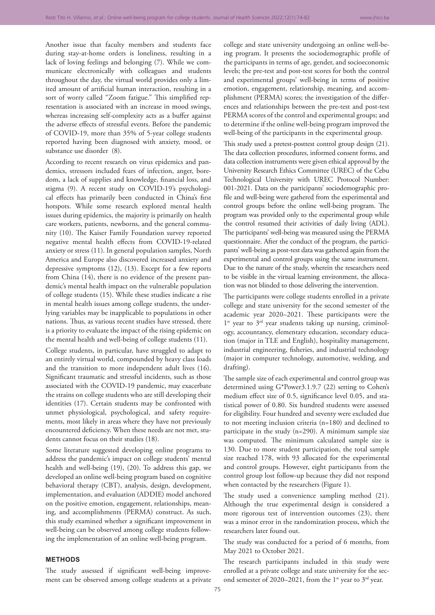Another issue that faculty members and students face during stay-at-home orders is loneliness, resulting in a lack of loving feelings and belonging (7). While we communicate electronically with colleagues and students throughout the day, the virtual world provides only a limited amount of artificial human interaction, resulting in a sort of worry called "Zoom fatigue." This simplified representation is associated with an increase in mood swings, whereas increasing self-complexity acts as a buffer against the adverse effects of stressful events. Before the pandemic of COVID-19, more than 35% of 5-year college students reported having been diagnosed with anxiety, mood, or substance use disorder (8).

According to recent research on virus epidemics and pandemics, stressors included fears of infection, anger, boredom, a lack of supplies and knowledge, financial loss, and stigma (9). A recent study on COVID-19's psychological effects has primarily been conducted in China's first hotspots. While some research explored mental health issues during epidemics, the majority is primarily on health care workers, patients, newborns, and the general community (10). The Kaiser Family Foundation survey reported negative mental health effects from COVID-19-related anxiety or stress (11). In general population samples, North America and Europe also discovered increased anxiety and depressive symptoms (12), (13). Except for a few reports from China (14), there is no evidence of the present pandemic's mental health impact on the vulnerable population of college students (15). While these studies indicate a rise in mental health issues among college students, the underlying variables may be inapplicable to populations in other nations. Thus, as various recent studies have stressed, there is a priority to evaluate the impact of the rising epidemic on the mental health and well-being of college students (11).

College students, in particular, have struggled to adapt to an entirely virtual world, compounded by heavy class loads and the transition to more independent adult lives (16). Significant traumatic and stressful incidents, such as those associated with the COVID-19 pandemic, may exacerbate the strains on college students who are still developing their identities (17). Certain students may be confronted with unmet physiological, psychological, and safety requirements, most likely in areas where they have not previously encountered deficiency. When these needs are not met, students cannot focus on their studies (18).

Some literature suggested developing online programs to address the pandemic's impact on college students' mental health and well-being (19), (20). To address this gap, we developed an online well-being program based on cognitive behavioral therapy (CBT), analysis, design, development, implementation, and evaluation (ADDIE) model anchored on the positive emotion, engagement, relationships, meaning, and accomplishments (PERMA) construct. As such, this study examined whether a significant improvement in well-being can be observed among college students following the implementation of an online well-being program.

#### **METHODS**

The study assessed if significant well-being improvement can be observed among college students at a private college and state university undergoing an online well-being program. It presents the sociodemographic profile of the participants in terms of age, gender, and socioeconomic levels; the pre-test and post-test scores for both the control and experimental groups' well-being in terms of positive emotion, engagement, relationship, meaning, and accomplishment (PERMA) scores; the investigation of the differences and relationships between the pre-test and post-test PERMA scores of the control and experimental groups; and to determine if the online well-being program improved the well-being of the participants in the experimental group.

This study used a pretest-posttest control group design (21). The data collection procedures, informed consent forms, and data collection instruments were given ethical approval by the University Research Ethics Committee (UREC) of the Cebu Technological University with UREC Protocol Number: 001-2021. Data on the participants' sociodemographic profile and well-being were gathered from the experimental and control groups before the online well-being program. The program was provided only to the experimental group while the control resumed their activities of daily living (ADL). The participants' well-being was measured using the PERMA questionnaire. After the conduct of the program, the participants' well-being as post-test data was gathered again from the experimental and control groups using the same instrument. Due to the nature of the study, wherein the researchers need to be visible in the virtual learning environment, the allocation was not blinded to those delivering the intervention.

The participants were college students enrolled in a private college and state university for the second semester of the academic year 2020–2021. These participants were the 1<sup>st</sup> year to 3<sup>rd</sup> year students taking up nursing, criminology, accountancy, elementary education, secondary education (major in TLE and English), hospitality management, industrial engineering, fisheries, and industrial technology (major in computer technology, automotive, welding, and drafting).

The sample size of each experimental and control group was determined using G\*Power3.1.9.7 (22) setting to Cohen's medium effect size of 0.5, significance level 0.05, and statistical power of 0.80. Six hundred students were assessed for eligibility. Four hundred and seventy were excluded due to not meeting inclusion criteria (n=180) and declined to participate in the study (n=290). A minimum sample size was computed. The minimum calculated sample size is 130. Due to more student participation, the total sample size reached 178, with 93 allocated for the experimental and control groups. However, eight participants from the control group lost follow-up because they did not respond when contacted by the researchers (Figure 1).

The study used a convenience sampling method (21). Although the true experimental design is considered a more rigorous test of intervention outcomes (23), there was a minor error in the randomization process, which the researchers later found out.

The study was conducted for a period of 6 months, from May 2021 to October 2021.

The research participants included in this study were enrolled at a private college and state university for the second semester of 2020–2021, from the 1<sup>st</sup> year to  $3<sup>rd</sup>$  year.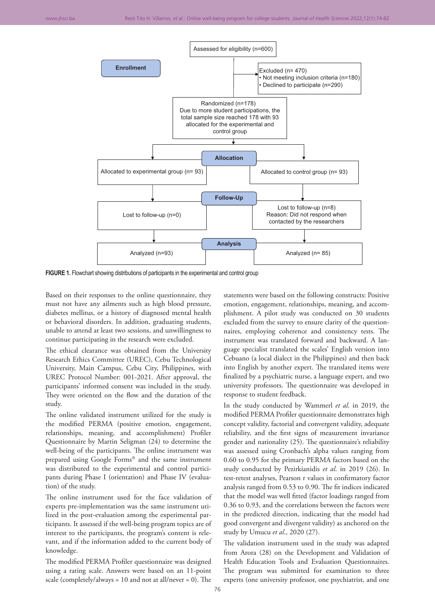

**FIGURE 1.** Flowchart showing distributions of participants in the experimental and control group

Based on their responses to the online questionnaire, they must not have any ailments such as high blood pressure, diabetes mellitus, or a history of diagnosed mental health or behavioral disorders. In addition, graduating students, unable to attend at least two sessions, and unwillingness to continue participating in the research were excluded.

The ethical clearance was obtained from the University Research Ethics Committee (UREC), Cebu Technological University, Main Campus, Cebu City, Philippines, with UREC Protocol Number: 001-2021. After approval, the participants' informed consent was included in the study. They were oriented on the flow and the duration of the study.

The online validated instrument utilized for the study is the modified PERMA (positive emotion, engagement, relationships, meaning, and accomplishment) Profiler Questionnaire by Martin Seligman (24) to determine the well-being of the participants. The online instrument was prepared using Google Forms® and the same instrument was distributed to the experimental and control participants during Phase I (orientation) and Phase IV (evaluation) of the study.

The online instrument used for the face validation of experts pre-implementation was the same instrument utilized in the post-evaluation among the experimental participants. It assessed if the well-being program topics are of interest to the participants, the program's content is relevant, and if the information added to the current body of knowledge.

The modified PERMA Profiler questionnaire was designed using a rating scale. Answers were based on an 11-point scale (completely/always =  $10$  and not at all/never = 0). The statements were based on the following constructs: Positive emotion, engagement, relationships, meaning, and accomplishment. A pilot study was conducted on 30 students excluded from the survey to ensure clarity of the questionnaires, employing coherence and consistency tests. The instrument was translated forward and backward. A language specialist translated the scales' English version into Cebuano (a local dialect in the Philippines) and then back into English by another expert. The translated items were finalized by a psychiatric nurse, a language expert, and two university professors. The questionnaire was developed in response to student feedback.

In the study conducted by Wammerl *et al*. in 2019, the modified PERMA Profiler questionnaire demonstrates high concept validity, factorial and convergent validity, adequate reliability, and the first signs of measurement invariance gender and nationality (25). The questionnaire's reliability was assessed using Cronbach's alpha values ranging from 0.60 to 0.95 for the primary PERMA factors based on the study conducted by Pezirkianidis *et al*. in 2019 (26). In test-retest analyses, Pearson r values in confirmatory factor analysis ranged from 0.53 to 0.90. The fit indices indicated that the model was well fitted (factor loadings ranged from 0.36 to 0.93, and the correlations between the factors were in the predicted direction, indicating that the model had good convergent and divergent validity) as anchored on the study by Umucu *et al*., 2020 (27).

The validation instrument used in the study was adapted from Arora (28) on the Development and Validation of Health Education Tools and Evaluation Questionnaires. The program was submitted for examination to three experts (one university professor, one psychiatrist, and one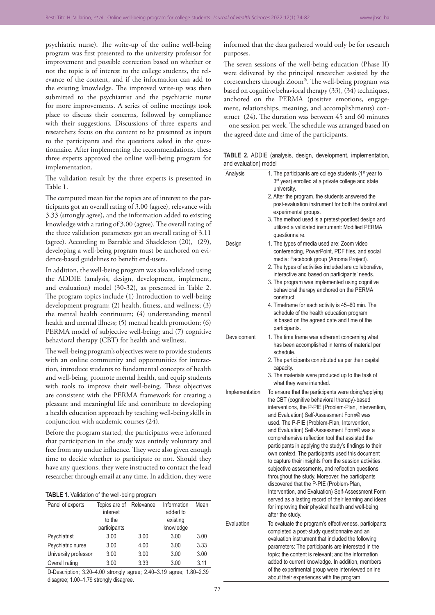psychiatric nurse). The write-up of the online well-being program was first presented to the university professor for improvement and possible correction based on whether or not the topic is of interest to the college students, the relevance of the content, and if the information can add to the existing knowledge. The improved write-up was then submitted to the psychiatrist and the psychiatric nurse for more improvements. A series of online meetings took place to discuss their concerns, followed by compliance with their suggestions. Discussions of three experts and researchers focus on the content to be presented as inputs to the participants and the questions asked in the questionnaire. After implementing the recommendations, these three experts approved the online well-being program for implementation.

The validation result by the three experts is presented in Table 1.

The computed mean for the topics are of interest to the participants got an overall rating of 3.00 (agree), relevance with 3.33 (strongly agree), and the information added to existing knowledge with a rating of 3.00 (agree). The overall rating of the three validation parameters got an overall rating of 3.11 (agree). According to Barrable and Shackleton (20), (29), developing a well-being program must be anchored on evidence-based guidelines to benefit end-users.

In addition, the well-being program was also validated using the ADDIE (analysis, design, development, implement, and evaluation) model (30-32), as presented in Table 2. The program topics include (1) Introduction to well-being development program; (2) health, fitness, and wellness; (3) the mental health continuum; (4) understanding mental health and mental illness; (5) mental health promotion; (6) PERMA model of subjective well-being; and (7) cognitive behavioral therapy (CBT) for health and wellness.

The well-being program's objectives were to provide students with an online community and opportunities for interaction, introduce students to fundamental concepts of health and well-being, promote mental health, and equip students with tools to improve their well-being. These objectives are consistent with the PERMA framework for creating a pleasant and meaningful life and contribute to developing a health education approach by teaching well-being skills in conjunction with academic courses (24).

Before the program started, the participants were informed that participation in the study was entirely voluntary and free from any undue influence. They were also given enough time to decide whether to participate or not. Should they have any questions, they were instructed to contact the lead researcher through email at any time. In addition, they were

|  | TABLE 1. Validation of the well-being program |  |  |  |
|--|-----------------------------------------------|--|--|--|
|--|-----------------------------------------------|--|--|--|

| Panel of experts     | Topics are of<br>interest<br>to the<br>participants | Relevance | Information<br>added to<br>existing<br>knowledge | Mean |
|----------------------|-----------------------------------------------------|-----------|--------------------------------------------------|------|
|                      |                                                     |           |                                                  |      |
| Psychiatrist         | 3.00                                                | 3.00      | 3.00                                             | 3.00 |
| Psychiatric nurse    | 3.00                                                | 4.00      | 3.00                                             | 3.33 |
| University professor | 3.00                                                | 3.00      | 3.00                                             | 3.00 |
| Overall rating       | 3.00                                                | 3.33      | 3.00                                             | 3.11 |
|                      |                                                     |           |                                                  |      |

D‑Description; 3.20–4.00 strongly agree; 2.40–3.19 agree; 1.80–2.39 disagree; 1.00–1.79 strongly disagree.

informed that the data gathered would only be for research purposes.

The seven sessions of the well-being education (Phase II) were delivered by the principal researcher assisted by the coresearchers through Zoom®. The well-being program was based on cognitive behavioral therapy (33), (34) techniques, anchored on the PERMA (positive emotions, engagement, relationships, meaning, and accomplishments) construct (24). The duration was between 45 and 60 minutes – one session per week. The schedule was arranged based on the agreed date and time of the participants.

**TABLE 2.** ADDIE (analysis, design, development, implementation, and evaluation) model

| Analysis       | 1. The participants are college students (1 <sup>st</sup> year to<br>3rd year) enrolled at a private college and state<br>university.                                |
|----------------|----------------------------------------------------------------------------------------------------------------------------------------------------------------------|
|                | 2. After the program, the students answered the<br>post-evaluation instrument for both the control and<br>experimental groups.                                       |
|                | 3. The method used is a pretest-posttest design and<br>utilized a validated instrument: Modified PERMA<br>questionnaire.                                             |
| Design         | 1. The types of media used are; Zoom video<br>conferencing, PowerPoint, PDF files, and social<br>media: Facebook group (Amoma Project).                              |
|                | 2. The types of activities included are collaborative,                                                                                                               |
|                | interactive and based on participants' needs.<br>3. The program was implemented using cognitive<br>behavioral therapy anchored on the PERMA                          |
|                | construct.<br>4. Timeframe for each activity is 45-60 min. The                                                                                                       |
|                | schedule of the health education program                                                                                                                             |
|                | is based on the agreed date and time of the<br>participants.                                                                                                         |
| Development    | 1. The time frame was adherent concerning what<br>has been accomplished in terms of material per<br>schedule.                                                        |
|                | 2. The participants contributed as per their capital<br>capacity.                                                                                                    |
|                | 3. The materials were produced up to the task of<br>what they were intended.                                                                                         |
| Implementation | To ensure that the participants were doing/applying<br>the CBT (cognitive behavioral therapy)-based                                                                  |
|                | interventions, the P-PIE (Problem-Plan, Intervention,<br>and Evaluation) Self-Assessment Form <sup>©</sup> was<br>used. The P-PIE (Problem-Plan, Intervention,       |
|                | and Evaluation) Self-Assessment Form© was a<br>comprehensive reflection tool that assisted the                                                                       |
|                | participants in applying the study's findings to their<br>own context. The participants used this document<br>to capture their insights from the session activities, |
|                | subjective assessments, and reflection questions<br>throughout the study. Moreover, the participants                                                                 |
|                | discovered that the P-PIE (Problem-Plan,<br>Intervention, and Evaluation) Self-Assessment Form                                                                       |
|                | served as a lasting record of their learning and ideas<br>for improving their physical health and well-being<br>after the study.                                     |
| Evaluation     | To evaluate the program's effectiveness, participants<br>completed a post-study questionnaire and an<br>evaluation instrument that included the following            |
|                | parameters: The participants are interested in the                                                                                                                   |
|                | topic; the content is relevant; and the information<br>added to current knowledge. In addition, members                                                              |
|                | of the experimental group were interviewed online                                                                                                                    |
|                | about their experiences with the program.                                                                                                                            |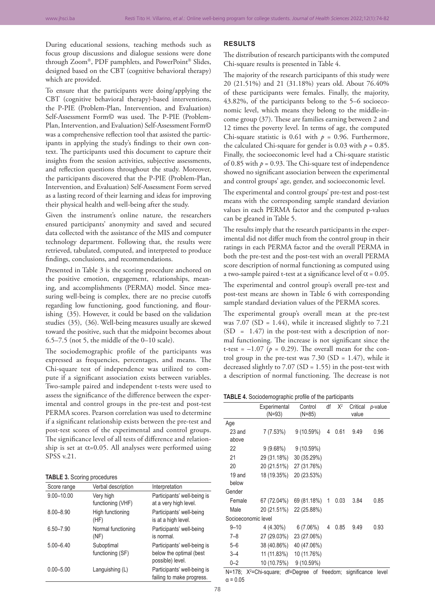During educational sessions, teaching methods such as focus group discussions and dialogue sessions were done through Zoom®, PDF pamphlets, and PowerPoint® Slides, designed based on the CBT (cognitive behavioral therapy) which are provided.

To ensure that the participants were doing/applying the CBT (cognitive behavioral therapy)-based interventions, the P-PIE (Problem-Plan, Intervention, and Evaluation) Self-Assessment Form© was used. The P-PIE (Problem-Plan, Intervention, and Evaluation) Self-Assessment Form© was a comprehensive reflection tool that assisted the participants in applying the study's findings to their own context. The participants used this document to capture their insights from the session activities, subjective assessments, and reflection questions throughout the study. Moreover, the participants discovered that the P-PIE (Problem-Plan, Intervention, and Evaluation) Self-Assessment Form served as a lasting record of their learning and ideas for improving their physical health and well-being after the study.

Given the instrument's online nature, the researchers ensured participants' anonymity and saved and secured data collected with the assistance of the MIS and computer technology department. Following that, the results were retrieved, tabulated, computed, and interpreted to produce findings, conclusions, and recommendations.

Presented in Table 3 is the scoring procedure anchored on the positive emotion, engagement, relationships, meaning, and accomplishments (PERMA) model. Since measuring well-being is complex, there are no precise cutoffs regarding low functioning, good functioning, and flourishing (35). However, it could be based on the validation studies (35), (36). Well-being measures usually are skewed toward the positive, such that the midpoint becomes about 6.5–7.5 (not 5, the middle of the 0–10 scale).

The sociodemographic profile of the participants was expressed as frequencies, percentages, and means. The Chi-square test of independence was utilized to compute if a significant association exists between variables. Two-sample paired and independent t-tests were used to assess the significance of the difference between the experimental and control groups in the pre-test and post-test PERMA scores. Pearson correlation was used to determine if a significant relationship exists between the pre-test and post-test scores of the experimental and control groups. The significance level of all tests of difference and relationship is set at  $\alpha$ =0.05. All analyses were performed using SPSS v.21.

#### **TABLE 3.** Scoring procedures

| Score range    | Verbal description             | Interpretation                                                             |
|----------------|--------------------------------|----------------------------------------------------------------------------|
| $9.00 - 10.00$ | Very high<br>functioning (VHF) | Participants' well-being is<br>at a very high level.                       |
| $8.00 - 8.90$  | High functioning<br>(HF)       | Participants' well-being<br>is at a high level.                            |
| $6.50 - 7.90$  | Normal functioning<br>(NF)     | Participants' well-being<br>is normal.                                     |
| $5.00 - 6.40$  | Suboptimal<br>functioning (SF) | Participants' well-being is<br>below the optimal (best<br>possible) level. |
| $0.00 - 5.00$  | Languishing (L)                | Participants' well-being is<br>failing to make progress.                   |

## **RESULTS**

The distribution of research participants with the computed Chi-square results is presented in Table 4.

The majority of the research participants of this study were 20 (21.51%) and 21 (31.18%) years old. About 76.40% of these participants were females. Finally, the majority, 43.82%, of the participants belong to the 5–6 socioeconomic level, which means they belong to the middle-income group (37). These are families earning between 2 and 12 times the poverty level. In terms of age, the computed Chi-square statistic is  $0.61$  with  $p = 0.96$ . Furthermore, the calculated Chi-square for gender is 0.03 with  $p = 0.85$ . Finally, the socioeconomic level had a Chi-square statistic of 0.85 with  $p = 0.93$ . The Chi-square test of independence showed no significant association between the experimental and control groups' age, gender, and socioeconomic level.

The experimental and control groups' pre-test and post-test means with the corresponding sample standard deviation values in each PERMA factor and the computed p-values can be gleaned in Table 5.

The results imply that the research participants in the experimental did not differ much from the control group in their ratings in each PERMA factor and the overall PERMA in both the pre-test and the post-test with an overall PERMA score description of normal functioning as computed using a two-sample paired t-test at a significance level of  $\alpha$  = 0.05.

The experimental and control group's overall pre-test and post-test means are shown in Table 6 with corresponding sample standard deviation values of the PERMA scores.

The experimental group's overall mean at the pre-test was 7.07 (SD = 1.44), while it increased slightly to 7.21  $(SD = 1.47)$  in the post-test with a description of normal functioning. The increase is not significant since the t-test =  $-1.07$  ( $p = 0.29$ ). The overall mean for the control group in the pre-test was  $7.30$  (SD = 1.47), while it decreased slightly to 7.07 (SD = 1.55) in the post-test with a description of normal functioning. The decrease is not

**TABLE 4.** Sociodemographic profile of the participants

|                     | Experimental | Control     | df | $X^2$ | Critical | p-value |
|---------------------|--------------|-------------|----|-------|----------|---------|
|                     | $(N=93)$     | $(N=85)$    |    |       | value    |         |
| Age                 |              |             |    |       |          |         |
| 23 and              | 7(7.53%)     | 9(10.59%)   | 4  | 0.61  | 9.49     | 0.96    |
| above               |              |             |    |       |          |         |
| 22                  | 9(9.68%)     | 9 (10.59%)  |    |       |          |         |
| 21                  | 29 (31.18%)  | 30 (35.29%) |    |       |          |         |
| 20                  | 20 (21.51%)  | 27 (31.76%) |    |       |          |         |
| 19 and              | 18 (19.35%)  | 20 (23.53%) |    |       |          |         |
| below               |              |             |    |       |          |         |
| Gender              |              |             |    |       |          |         |
| Female              | 67 (72.04%)  | 69 (81.18%) | 1  | 0.03  | 3.84     | 0.85    |
| Male                | 20 (21.51%)  | 22 (25.88%) |    |       |          |         |
| Socioeconomic level |              |             |    |       |          |         |
| $9 - 10$            | 4 (4.30%)    | 6(7.06%)    | 4  | 0.85  | 9.49     | 0.93    |
| $7 - 8$             | 27 (29.03%)  | 23 (27.06%) |    |       |          |         |
| $5 - 6$             | 38 (40.86%)  | 40 (47.06%) |    |       |          |         |
| $3 - 4$             | 11 (11.83%)  | 10 (11.76%) |    |       |          |         |
| $0 - 2$             | 10 (10.75%)  | 9(10.59%)   |    |       |          |         |

N=178; X<sup>2</sup>=Chi-square; df=Degree of freedom; significance level  $α = 0.05$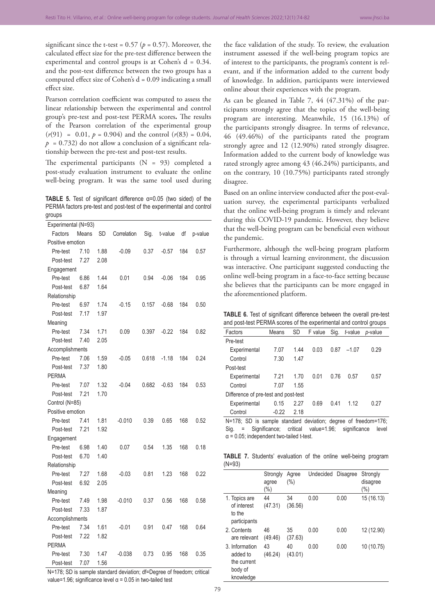significant since the t-test =  $0.57$  ( $p = 0.57$ ). Moreover, the calculated effect size for the pre-test difference between the experimental and control groups is at Cohen's d = 0.34. and the post-test difference between the two groups has a computed effect size of Cohen's  $d = 0.09$  indicating a small effect size.

Pearson correlation coefficient was computed to assess the linear relationship between the experimental and control group's pre-test and post-test PERMA scores**.** The results of the Pearson correlation of the experimental group  $(r(91) = 0.01, p = 0.904)$  and the control  $(r(83) = 0.04,$  $p = 0.732$  do not allow a conclusion of a significant relationship between the pre-test and post-test results.

The experimental participants  $(N = 93)$  completed a post-study evaluation instrument to evaluate the online well-being program. It was the same tool used during

**TABLE 5.** Test of significant difference α=0.05 (two sided) of the PERMA factors pre-test and post-test of the experimental and control groups

| Experimental (N=93) |       |           |             |       |         |     |         |
|---------------------|-------|-----------|-------------|-------|---------|-----|---------|
| Factors             | Means | <b>SD</b> | Correlation | Sig.  | t-value | df  | p-value |
| Positive emotion    |       |           |             |       |         |     |         |
| Pre-test            | 7.10  | 1.88      | $-0.09$     | 0.37  | $-0.57$ | 184 | 0.57    |
| Post-test           | 7.27  | 2.08      |             |       |         |     |         |
| Engagement          |       |           |             |       |         |     |         |
| Pre-test            | 6.86  | 1.44      | 0.01        | 0.94  | $-0.06$ | 184 | 0.95    |
| Post-test           | 6.87  | 1.64      |             |       |         |     |         |
| Relationship        |       |           |             |       |         |     |         |
| Pre-test            | 6.97  | 1.74      | $-0.15$     | 0.157 | $-0.68$ | 184 | 0.50    |
| Post-test           | 7.17  | 1.97      |             |       |         |     |         |
| Meaning             |       |           |             |       |         |     |         |
| Pre-test            | 7.34  | 1.71      | 0.09        | 0.397 | $-0.22$ | 184 | 0.82    |
| Post-test           | 7.40  | 2.05      |             |       |         |     |         |
| Accomplishments     |       |           |             |       |         |     |         |
| Pre-test            | 7.06  | 1.59      | $-0.05$     | 0.618 | $-1.18$ | 184 | 0.24    |
| Post-test           | 7.37  | 1.80      |             |       |         |     |         |
| <b>PERMA</b>        |       |           |             |       |         |     |         |
| Pre-test            | 7.07  | 1.32      | $-0.04$     | 0.682 | $-0.63$ | 184 | 0.53    |
| Post-test           | 7.21  | 1.70      |             |       |         |     |         |
| Control (N=85)      |       |           |             |       |         |     |         |
| Positive emotion    |       |           |             |       |         |     |         |
| Pre-test            | 7.41  | 1.81      | $-0.010$    | 0.39  | 0.65    | 168 | 0.52    |
| Post-test           | 7.21  | 1.92      |             |       |         |     |         |
| Engagement          |       |           |             |       |         |     |         |
| Pre-test            | 6.98  | 1.40      | 0.07        | 0.54  | 1.35    | 168 | 0.18    |
| Post-test           | 6.70  | 1.40      |             |       |         |     |         |
| Relationship        |       |           |             |       |         |     |         |
| Pre-test            | 7.27  | 1.68      | $-0.03$     | 0.81  | 1.23    | 168 | 0.22    |
| Post-test           | 6.92  | 2.05      |             |       |         |     |         |
| Meaning             |       |           |             |       |         |     |         |
| Pre-test            | 7.49  | 1.98      | $-0.010$    | 0.37  | 0.56    | 168 | 0.58    |
| Post-test           | 7.33  | 1.87      |             |       |         |     |         |
| Accomplishments     |       |           |             |       |         |     |         |
| Pre-test            | 7.34  | 1.61      | $-0.01$     | 0.91  | 0.47    | 168 | 0.64    |
| Post-test           | 7.22  | 1.82      |             |       |         |     |         |
| <b>PERMA</b>        |       |           |             |       |         |     |         |
| Pre-test            | 7.30  | 1.47      | $-0.038$    | 0.73  | 0.95    | 168 | 0.35    |
| Post-test           | 7.07  | 1.56      |             |       |         |     |         |

N=178; SD is sample standard deviation; df=Degree of freedom; critical value=1.96; significance level  $α = 0.05$  in two-tailed test

the face validation of the study. To review, the evaluation instrument assessed if the well-being program topics are of interest to the participants, the program's content is relevant, and if the information added to the current body of knowledge. In addition, participants were interviewed online about their experiences with the program.

As can be gleaned in Table 7, 44 (47.31%) of the participants strongly agree that the topics of the well-being program are interesting. Meanwhile, 15 (16.13%) of the participants strongly disagree. In terms of relevance, 46 (49.46%) of the participants rated the program strongly agree and 12 (12.90%) rated strongly disagree. Information added to the current body of knowledge was rated strongly agree among 43 (46.24%) participants, and on the contrary, 10 (10.75%) participants rated strongly disagree.

Based on an online interview conducted after the post-evaluation survey, the experimental participants verbalized that the online well-being program is timely and relevant during this COVID-19 pandemic. However, they believe that the well-being program can be beneficial even without the pandemic.

Furthermore, although the well-being program platform is through a virtual learning environment, the discussion was interactive. One participant suggested conducting the online well-being program in a face-to-face setting because she believes that the participants can be more engaged in the aforementioned platform.

**TABLE 6.** Test of significant difference between the overall pre-test and post-test PERMA scores of the experimental and control groups

| Factors                              | Means   | <b>SD</b> | F value | Sig. | t-value | p-value |  |
|--------------------------------------|---------|-----------|---------|------|---------|---------|--|
| Pre-test                             |         |           |         |      |         |         |  |
| Experimental                         | 7.07    | 1.44      | 0.03    | 0.87 | $-1.07$ | 0.29    |  |
| Control                              | 7.30    | 1.47      |         |      |         |         |  |
| Post-test                            |         |           |         |      |         |         |  |
| Experimental                         | 7.21    | 1.70      | 0.01    | 0.76 | 0.57    | 0.57    |  |
| Control                              | 7.07    | 1.55      |         |      |         |         |  |
| Difference of pre-test and post-test |         |           |         |      |         |         |  |
| Experimental                         | 0.15    | 2.27      | 0.69    | 0.41 | 1.12    | 0.27    |  |
| Control                              | $-0.22$ | 2.18      |         |      |         |         |  |

N=178; SD is sample standard deviation; degree of freedom=176; Sig. = Significance; critical value=1.96; significance level  $\alpha$  = 0.05; independent two-tailed t-test.

**TABLE 7.** Students' evaluation of the online well-being program  $(N=93)$ 

| $\prime$                                                          |                              |                  |                    |      |                                 |
|-------------------------------------------------------------------|------------------------------|------------------|--------------------|------|---------------------------------|
|                                                                   | Strongly<br>agree<br>$(\% )$ | Agree<br>$(\% )$ | Undecided Disagree |      | Strongly<br>disagree<br>$(\% )$ |
| 1. Topics are<br>of interest<br>to the<br>participants            | 44<br>(47.31)                | 34<br>(36.56)    | 0.00               | 0.00 | 15 (16.13)                      |
| 2. Contents<br>are relevant                                       | 46<br>(49.46)                | 35<br>(37.63)    | 0.00               | 0.00 | 12 (12.90)                      |
| 3. Information<br>added to<br>the current<br>body of<br>knowledge | 43<br>(46.24)                | 40<br>(43.01)    | 0.00               | 0.00 | 10 (10.75)                      |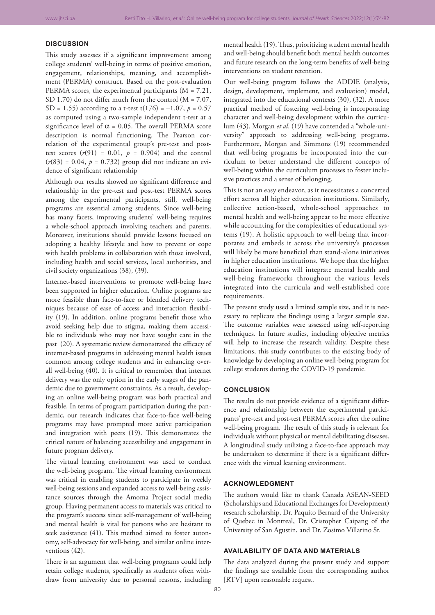#### **DISCUSSION**

This study assesses if a significant improvement among college students' well-being in terms of positive emotion, engagement, relationships, meaning, and accomplishment (PERMA) construct. Based on the post-evaluation PERMA scores, the experimental participants (M = 7.21, SD 1.70) do not differ much from the control (M = 7.07, SD = 1.55) according to a t-test  $t(176) = -1.07$ ,  $p = 0.57$ as computed using a two-sample independent t-test at a significance level of  $\alpha$  = 0.05. The overall PERMA score description is normal functioning. The Pearson correlation of the experimental group's pre-test and posttest scores  $(r(91) = 0.01, p = 0.904)$  and the control  $(r(83) = 0.04, p = 0.732)$  group did not indicate an evidence of significant relationship

Although our results showed no significant difference and relationship in the pre-test and post-test PERMA scores among the experimental participants, still, well-being programs are essential among students. Since well-being has many facets, improving students' well-being requires a whole-school approach involving teachers and parents. Moreover, institutions should provide lessons focused on adopting a healthy lifestyle and how to prevent or cope with health problems in collaboration with those involved, including health and social services, local authorities, and civil society organizations (38), (39).

Internet-based interventions to promote well-being have been supported in higher education. Online programs are more feasible than face-to-face or blended delivery techniques because of ease of access and interaction flexibility (19). In addition, online programs benefit those who avoid seeking help due to stigma, making them accessible to individuals who may not have sought care in the past (20). A systematic review demonstrated the efficacy of internet-based programs in addressing mental health issues common among college students and in enhancing overall well-being (40). It is critical to remember that internet delivery was the only option in the early stages of the pandemic due to government constraints. As a result, developing an online well-being program was both practical and feasible. In terms of program participation during the pandemic, our research indicates that face-to-face well-being programs may have prompted more active participation and integration with peers (19). This demonstrates the critical nature of balancing accessibility and engagement in future program delivery.

The virtual learning environment was used to conduct the well-being program. The virtual learning environment was critical in enabling students to participate in weekly well-being sessions and expanded access to well-being assistance sources through the Amoma Project social media group. Having permanent access to materials was critical to the program's success since self-management of well-being and mental health is vital for persons who are hesitant to seek assistance (41). This method aimed to foster autonomy, self-advocacy for well-being, and similar online interventions (42).

There is an argument that well-being programs could help retain college students, specifically as students often withdraw from university due to personal reasons, including

mental health (19). Thus, prioritizing student mental health and well-being should benefit both mental health outcomes and future research on the long-term benefits of well-being interventions on student retention.

Our well-being program follows the ADDIE (analysis, design, development, implement, and evaluation) model, integrated into the educational contexts (30), (32). A more practical method of fostering well-being is incorporating character and well-being development within the curriculum (43). Morgan *et al*. (19) have contended a "whole-university" approach to addressing well-being programs. Furthermore, Morgan and Simmons (19) recommended that well-being programs be incorporated into the curriculum to better understand the different concepts of well-being within the curriculum processes to foster inclusive practices and a sense of belonging.

This is not an easy endeavor, as it necessitates a concerted effort across all higher education institutions. Similarly, collective action-based, whole-school approaches to mental health and well-being appear to be more effective while accounting for the complexities of educational systems (19). A holistic approach to well-being that incorporates and embeds it across the university's processes will likely be more beneficial than stand-alone initiatives in higher education institutions. We hope that the higher education institutions will integrate mental health and well-being frameworks throughout the various levels integrated into the curricula and well-established core requirements.

The present study used a limited sample size, and it is necessary to replicate the findings using a larger sample size. The outcome variables were assessed using self-reporting techniques. In future studies, including objective metrics will help to increase the research validity. Despite these limitations, this study contributes to the existing body of knowledge by developing an online well-being program for college students during the COVID-19 pandemic.

## **CONCLUSION**

The results do not provide evidence of a significant difference and relationship between the experimental participants' pre-test and post-test PERMA scores after the online well-being program. The result of this study is relevant for individuals without physical or mental debilitating diseases. A longitudinal study utilizing a face-to-face approach may be undertaken to determine if there is a significant difference with the virtual learning environment.

### **ACKNOWLEDGMENT**

The authors would like to thank Canada ASEAN-SEED (Scholarships and Educational Exchanges for Development) research scholarship, Dr. Paquito Bernard of the University of Quebec in Montreal, Dr. Cristopher Caipang of the University of San Agustin, and Dr. Zosimo Villarino Sr.

### **AVAILABILITY OF DATA AND MATERIALS**

The data analyzed during the present study and support the findings are available from the corresponding author [RTV] upon reasonable request.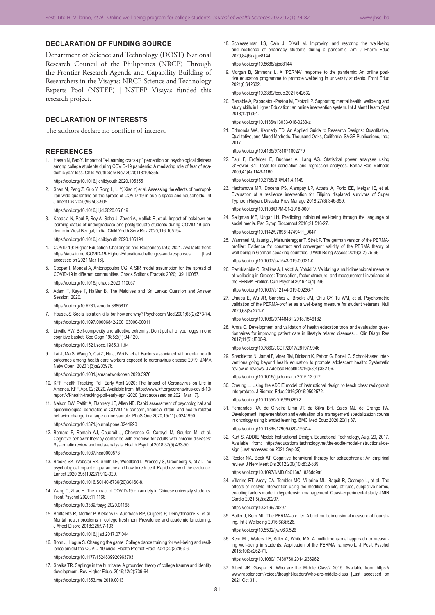## **DECLARATION OF FUNDING SOURCE**

Department of Science and Technology (DOST) National Research Council of the Philippines (NRCP) Through the Frontier Research Agenda and Capability Building of Researchers in the Visayas: NRCP Science and Technology Experts Pool (NSTEP) | NSTEP Visayas funded this research project.

## **DECLARATION OF INTERESTS**

The authors declare no conflicts of interest.

#### **REFERENCES**

- 1. Hasan N, Bao Y. Impact of "e-Learning crack-up" perception on psychological distress among college students during COVID-19 pandemic: A mediating role of fear of academic year loss. Child Youth Serv Rev 2020;118:105355. https://doi.org/10.1016/j.childyouth.2020.105355
- 2. Shen M, Peng Z, Guo Y, Rong L, Li Y, Xiao Y, et al. Assessing the effects of metropolitan-wide quarantine on the spread of COVID-19 in public space and households. Int J Infect Dis 2020;96:503-505.

https://doi.org/10.1016/j.ijid.2020.05.019

- 3. Kapasia N, Paul P, Roy A, Saha J, Zaveri A, Mallick R, et al. Impact of lockdown on learning status of undergraduate and postgraduate students during COVID-19 pandemic in West Bengal, India. Child Youth Serv Rev 2020;116:105194. https://doi.org/10.1016/j.childyouth.2020.105194
- 4. COVID-19: Higher Education Challenges and Responses IAU; 2021. Available from: https://iau-aiu.net/COVID-19-Higher-Education-challenges-and-responses accessed on 2021 Mar 16].
- 5. Cooper I, Mondal A, Antonopoulos CG. A SIR model assumption for the spread of COVID-19 in different communities. Chaos Solitons Fractals 2020;139:110057. https://doi.org/10.1016/j.chaos.2020.110057
- 6. Adam T, Kaye T, Haßler B. The Maldives and Sri Lanka: Question and Answer Session: 2020

https://doi.org/10.5281/zenodo.3885817

- 7. House JS. Social isolation kills, but how and why? Psychosom Med 2001;63(2):273-74. https://doi.org/10.1097/00006842-200103000-00011
- 8. Linville PW. Self-complexity and affective extremity: Don't put all of your eggs in one cognitive basket. Soc Cogn 1985;3(1):94-120.

https://doi.org/10.1521/soco.1985.3.1.94

9. Lai J, Ma S, Wang Y, Cai Z, Hu J, Wei N, et al. Factors associated with mental health outcomes among health care workers exposed to coronavirus disease 2019. JAMA Netw Open. 2020;3(3):e203976.

https://doi.org/10.1001/jamanetworkopen.2020.3976

- 10. KFF Health Tracking Poll Early April 2020: The Impact of Coronavirus on Life in America. KFF, Apr. 02; 2020. Available from: https://www.kff.org/coronavirus-covid-19/ report/kff-health-tracking-poll-early-april-2020 [Last accessed on 2021 Mar 17].
- 11. Nelson BW, Pettitt A, Flannery JE, Allen NB. Rapid assessment of psychological and epidemiological correlates of COVID-19 concern, financial strain, and health-related behavior change in a large online sample. PLoS One 2020;15(11):e0241990. https://doi.org/10.1371/journal.pone.0241990
- 12. Bernard P, Romain AJ, Caudroit J, Chevance G, Carayol M, Gourlan M, et al. Cognitive behavior therapy combined with exercise for adults with chronic diseases: Systematic review and meta-analysis. Health Psychol 2018;37(5):433-50. https://doi.org/10.1037/hea0000578
- 13. Brooks SK, Webstar RK, Smith LE, Woodland L, Wessely S, Greenberg N, et al. The psychological impact of quarantine and how to reduce it: Rapid review of the evidence. Lancet 2020;395(10227):912-920.

https://doi.org/10.1016/S0140-6736(20)30460-8.

14. Wang C, Zhao H. The impact of COVID-19 on anxiety in Chinese university students. Front Psychol 2020;11:1168.

https://doi.org/10.3389/fpsyg.2020.01168

15. Bruffaerts R, Mortier P, Kiekens G, Auerbach RP, Cuijpers P, Demyttenaere K, et al. Mental health problems in college freshmen: Prevalence and academic functioning. J Affect Disord 2018;225:97-103.

https://doi.org/10.1016/j.jad.2017.07.044

- 16. Bohn J, Hogue S. Changing the game: College dance training for well-being and resil‑ ience amidst the COVID-19 crisis. Health Promot Pract 2021;22(2):163-6. https://doi.org/10.1177/1524839920963703
- 17. Shalka TR. Saplings in the hurricane: A grounded theory of college trauma and identity development. Rev Higher Educ. 2019;42(2):739-64. https://doi.org/10.1353/rhe.2019.0013

18. Schlesselman LS, Cain J, DiVall M. Improving and restoring the well-being and resilience of pharmacy students during a pandemic. Am J Pharm Educ 2020;84(6):ajpe8144.

https://doi.org/10.5688/ajpe8144

19. Morgan B. Simmons L. A "PERMA" response to the pandemic: An online positive education programme to promote wellbeing in university students. Front Educ 2021;6:642632.

https://doi.org/10.3389/feduc.2021.642632

20. Barrable A, Papadatou-Pastou M, Tzotzoli P. Supporting mental health, wellbeing and study skills in Higher Education: an online intervention system. Int J Ment Health Syst 2018;12(1):54.

https://doi.org/10.1186/s13033-018-0233-z

21. Edmonds WA, Kennedy TD. An Applied Guide to Research Designs: Quantitative, Qualitative, and Mixed Methods. Thousand Oaks, California: SAGE Publications, Inc.; 2017.

https://doi.org/10.4135/9781071802779

22. Faul F, Erdfelder E, Buchner A, Lang AG. Statistical power analyses using G\*Power 3.1: Tests for correlation and regression analyses. Behav Res Methods 2009;41(4):1149-1160.

https://doi.org/10.3758/BRM.41.4.1149

- 23. Hechanova MR, Docena PS, Alampay LP, Acosta A, Porio EE, Melgar IE, et al. Evaluation of a resilience intervention for Filipino displaced survivors of Super Typhoon Haiyan. Disaster Prev Manage 2018;27(3):346-359. https://doi.org/10.1108/DPM-01-2018-0001
- 24. Seligman ME, Ungar LH. Predicting individual well-being through the language of social media. Pac Symp Biocomput 2016;21:516-27. https://doi.org/10.1142/9789814749411\_0047
- 25. Wammerl M, Jaunig J, Mairunteregger T, Streit P. The german version of the PERMAprofiler: Evidence for construct and convergent validity of the PERMA theory of well-being in German speaking countries. J Well Being Assess 2019;3(2):75-96. https://doi.org/10.1007/s41543-019-00021-0
- 26. Pezirkianidis C, Stalikas A, Lakioti A, Yotsidi V. Validating a multidimensional measure of wellbeing in Greece: Translation, factor structure, and measurement invariance of the PERMA Profiler. Curr Psychol 2019;40(4):236. https://doi.org/10.1007/s12144-019-00236-7
- 27. Umucu E, Wu JR, Sanchez J, Brooks JM, Chiu CY, Tu WM, et al. Psychometric validation of the PERMA-profiler as a well-being measure for student veterans. Null 2020;68(3):271-7.

https://doi.org/10.1080/07448481.2018.1546182

28. Arora C. Development and validation of health education tools and evaluation questionnaires for improving patient care in lifestyle related diseases. J Clin Diagn Res 2017;11(5):JE06-9.

https://doi.org/10.7860/JCDR/2017/28197.9946

29. Shackleton N, Jamal F, Viner RM, Dickson K, Patton G, Bonell C. School-based interventions going beyond health education to promote adolescent health: Systematic review of reviews. J Adolesc Health 2016;58(4):382-96.

https://doi.org/10.1016/j.jadohealth.2015.12.017

- 30. Cheung L. Using the ADDIE model of instructional design to teach chest radiograph interpretatio. J Biomed Educ 2016;2016:9502572. https://doi.org/10.1155/2016/9502572
- 31. Fernandes RA, de Oliveira Lima JT, da Silva BH, Sales MJ, de Orange FA. Development, implementation and evaluation of a management specialization course in oncology using blended learning. BMC Med Educ 2020;20(1):37. https://doi.org/10.1186/s12909-020-1957-4
- 32. Kurt S. ADDIE Model: Instructional Design. Educational Technology, Aug. 29, 2017. Available from: https://educationaltechnology.net/the-addie-model-instructional-design [Last accessed on 2021 Sep 05].
- 33. Rector NA, Beck AT. Cognitive behavioral therapy for schizophrenia: An empirical review. J Nerv Ment Dis 2012;200(10):832-839.

https://doi.org/10.1097/NMD.0b013e31826dd9af

34. Villarino RT, Arcay CA, Temblor MC, Villarino ML, Bagsit R, Ocampo L, et al. The effects of lifestyle intervention using the modified beliefs, attitude, subjective norms, enabling factors model in hypertension management: Quasi-experimental study. JMIR Cardio 2021;5(2):e20297.

https://doi.org/10.2196/20297

35. Butler J, Kern ML. The PERMA-profiler: A brief multidimensional measure of flourishing. Int J Wellbeing 2016;6(3):526.

https://doi.org/10.5502/ijw.v6i3.526

36. Kern ML, Waters LE, Adler A, White MA. A multidimensional approach to measuring well-being in students: Application of the PERMA framework. J Posit Psychol 2015;10(3):262-71.

https://doi.org/10.1080/17439760.2014.936962

37. Albert JR, Gaspar R. Who are the Middle Class? 2015. Available from: https:// www.rappler.com/voices/thought-leaders/who-are-middle-class [Last accessed on 2021 Oct 31].